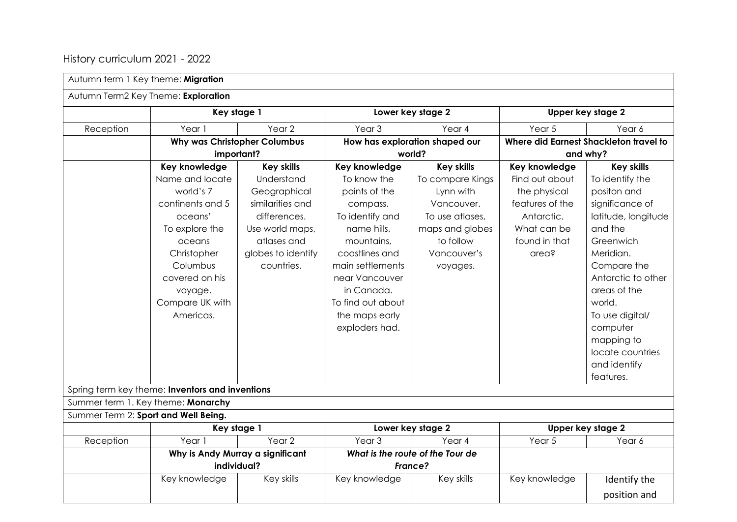## History curriculum 2021 - 2022

| Autumn term 1 Key theme: Migration   |                                                 |                                     |                                  |                                |                   |                                        |
|--------------------------------------|-------------------------------------------------|-------------------------------------|----------------------------------|--------------------------------|-------------------|----------------------------------------|
| Autumn Term2 Key Theme: Exploration  |                                                 |                                     |                                  |                                |                   |                                        |
|                                      | Key stage 1                                     |                                     | Lower key stage 2                |                                | Upper key stage 2 |                                        |
| Reception                            | Year 1                                          | Year <sub>2</sub>                   | Year <sub>3</sub>                | Year 4                         | Year 5            | Year 6                                 |
|                                      |                                                 | <b>Why was Christopher Columbus</b> |                                  | How has exploration shaped our |                   | Where did Earnest Shackleton travel to |
|                                      | important?                                      |                                     | world?                           |                                | and why?          |                                        |
|                                      | Key knowledge                                   | <b>Key skills</b>                   | Key knowledge                    | <b>Key skills</b>              | Key knowledge     | <b>Key skills</b>                      |
|                                      | Name and locate                                 | Understand                          | To know the                      | To compare Kings               | Find out about    | To identify the                        |
|                                      | world's 7                                       | Geographical                        | points of the                    | Lynn with                      | the physical      | positon and                            |
|                                      | continents and 5                                | similarities and                    | compass.                         | Vancouver.                     | features of the   | significance of                        |
|                                      | oceans'                                         | differences.                        | To identify and                  | To use atlases,                | Antarctic.        | latitude, longitude                    |
|                                      | To explore the                                  | Use world maps,                     | name hills.                      | maps and globes                | What can be       | and the                                |
|                                      | oceans                                          | atlases and                         | mountains,                       | to follow                      | found in that     | Greenwich                              |
|                                      | Christopher                                     | globes to identify                  | coastlines and                   | Vancouver's                    | area?             | Meridian.                              |
|                                      | Columbus                                        | countries.                          | main settlements                 | voyages.                       |                   | Compare the                            |
|                                      | covered on his                                  |                                     | near Vancouver                   |                                |                   | Antarctic to other                     |
|                                      | voyage.                                         |                                     | in Canada.                       |                                |                   | areas of the                           |
|                                      | Compare UK with                                 |                                     | To find out about                |                                |                   | world.                                 |
|                                      | Americas.                                       |                                     | the maps early                   |                                |                   | To use digital/                        |
|                                      |                                                 |                                     | exploders had.                   |                                |                   | computer                               |
|                                      |                                                 |                                     |                                  |                                |                   | mapping to                             |
|                                      |                                                 |                                     |                                  |                                |                   | locate countries                       |
|                                      |                                                 |                                     |                                  |                                |                   | and identify                           |
|                                      |                                                 |                                     |                                  |                                |                   | features.                              |
|                                      | Spring term key theme: Inventors and inventions |                                     |                                  |                                |                   |                                        |
| Summer term 1. Key theme: Monarchy   |                                                 |                                     |                                  |                                |                   |                                        |
| Summer Term 2: Sport and Well Being. |                                                 |                                     |                                  |                                |                   |                                        |
|                                      | Key stage 1                                     |                                     | Lower key stage 2                |                                | Upper key stage 2 |                                        |
| Reception                            | Year 1                                          | Year <sub>2</sub>                   | Year <sub>3</sub>                | Year 4                         | Year 5            | Year 6                                 |
|                                      | Why is Andy Murray a significant                |                                     | What is the route of the Tour de |                                |                   |                                        |
|                                      | individual?                                     |                                     | France?                          |                                |                   |                                        |
|                                      | Key knowledge                                   | Key skills                          | Key knowledge                    | Key skills                     | Key knowledge     | Identify the                           |
|                                      |                                                 |                                     |                                  |                                |                   | position and                           |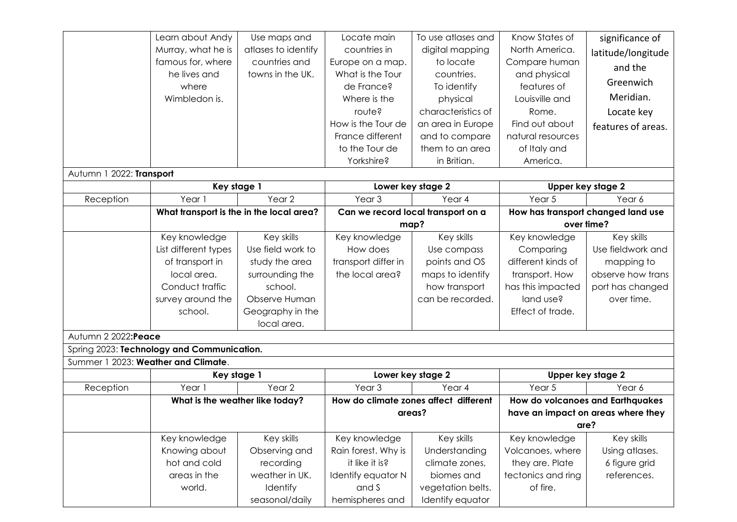|                                     | Learn about Andy                           | Use maps and        | Locate main                           | To use atlases and | Know States of                     | significance of    |
|-------------------------------------|--------------------------------------------|---------------------|---------------------------------------|--------------------|------------------------------------|--------------------|
|                                     | Murray, what he is                         | atlases to identify | countries in                          | digital mapping    | North America.                     | latitude/longitude |
|                                     | famous for, where                          | countries and       | Europe on a map.                      | to locate          | Compare human                      | and the            |
|                                     | he lives and                               | towns in the UK.    | What is the Tour                      | countries.         | and physical                       |                    |
|                                     | where                                      |                     | de France?                            | To identify        | features of                        | Greenwich          |
|                                     | Wimbledon is.                              |                     | Where is the                          | physical           | Louisville and                     | Meridian.          |
|                                     |                                            |                     | route?                                | characteristics of | Rome.                              | Locate key         |
|                                     |                                            |                     | How is the Tour de                    | an area in Europe  | Find out about                     | features of areas. |
|                                     |                                            |                     | France different                      | and to compare     | natural resources                  |                    |
|                                     |                                            |                     | to the Tour de                        | them to an area    | of Italy and                       |                    |
|                                     |                                            |                     | Yorkshire?                            | in Britian.        | America.                           |                    |
| Autumn 1 2022: Transport            |                                            |                     |                                       |                    |                                    |                    |
|                                     | Key stage 1                                |                     | Lower key stage 2                     |                    | Upper key stage 2                  |                    |
| Reception                           | Year 1                                     | Year <sub>2</sub>   | Year <sub>3</sub>                     | Year 4             | Year <sub>5</sub>                  | Year 6             |
|                                     | What transport is the in the local area?   |                     | Can we record local transport on a    |                    | How has transport changed land use |                    |
|                                     |                                            |                     | map?                                  |                    | over time?                         |                    |
|                                     | Key knowledge                              | Key skills          | Key knowledge                         | Key skills         | Key knowledge                      | Key skills         |
|                                     | List different types                       | Use field work to   | How does                              | Use compass        | Comparing                          | Use fieldwork and  |
|                                     | of transport in                            | study the area      | transport differ in                   | points and OS      | different kinds of                 | mapping to         |
|                                     | local area.                                | surrounding the     | the local area?                       | maps to identify   | transport. How                     | observe how trans  |
|                                     | Conduct traffic                            | school.             |                                       | how transport      | has this impacted                  | port has changed   |
|                                     | survey around the                          | Observe Human       |                                       | can be recorded.   | land use?                          | over time.         |
|                                     | school.                                    | Geography in the    |                                       |                    | Effect of trade.                   |                    |
|                                     |                                            | local area.         |                                       |                    |                                    |                    |
| Autumn 2 2022:Peace                 |                                            |                     |                                       |                    |                                    |                    |
|                                     | Spring 2023: Technology and Communication. |                     |                                       |                    |                                    |                    |
| Summer 1 2023: Weather and Climate. |                                            |                     |                                       |                    |                                    |                    |
|                                     | Key stage 1                                |                     | Lower key stage 2                     |                    | Upper key stage 2                  |                    |
| Reception                           | Year 1                                     | Year <sub>2</sub>   | Year <sub>3</sub>                     | Year 4             | Year 5                             | Year 6             |
|                                     | What is the weather like today?            |                     | How do climate zones affect different |                    | How do volcanoes and Earthquakes   |                    |
|                                     |                                            |                     | areas?                                |                    | have an impact on areas where they |                    |
|                                     |                                            |                     |                                       |                    | are?                               |                    |
|                                     | Key knowledge                              | Key skills          | Key knowledge                         | Key skills         | Key knowledge                      | Key skills         |
|                                     | Knowing about                              | Observing and       | Rain forest. Why is                   | Understanding      | Volcanoes, where                   | Using atlases.     |
|                                     | hot and cold                               | recording           | it like it is?                        | climate zones,     | they are. Plate                    | 6 figure grid      |
|                                     | areas in the                               | weather in UK.      | Identify equator N                    | biomes and         | tectonics and ring                 | references.        |
|                                     | world.                                     | Identify            | and S                                 | vegetation belts.  | of fire.                           |                    |
|                                     |                                            | seasonal/daily      | hemispheres and                       | Identify equator   |                                    |                    |